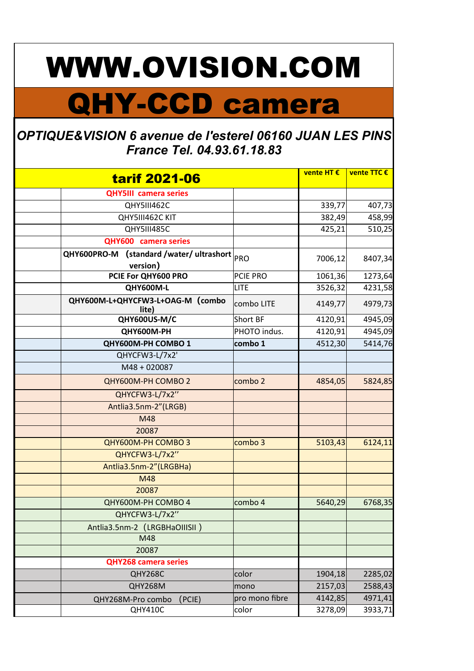## WWW.OVISION.COM

## QHY-CCD camera

## OPTIQUE&VISION 6 avenue de l'esterel 06160 JUAN LES PINS France Tel. 04.93.61.18.83

| <b>tarif 2021-06</b> |                                           |                | vente HT € | vente TTC € |
|----------------------|-------------------------------------------|----------------|------------|-------------|
|                      | <b>QHY5III</b> camera series              |                |            |             |
|                      | QHY5III462C                               |                | 339,77     | 407,73      |
|                      | QHY5III462C KIT                           |                | 382,49     | 458,99      |
|                      | QHY5III485C                               |                | 425,21     | 510,25      |
|                      | QHY600 camera series                      |                |            |             |
|                      | QHY600PRO-M (standard /water/ ultrashort  |                |            |             |
|                      | version)                                  | PRO            | 7006,12    | 8407,34     |
|                      | PCIE For QHY600 PRO                       | PCIE PRO       | 1061,36    | 1273,64     |
|                      | QHY600M-L                                 | <b>LITE</b>    | 3526,32    | 4231,58     |
|                      | QHY600M-L+QHYCFW3-L+OAG-M (combo<br>lite) | combo LITE     | 4149,77    | 4979,73     |
|                      | QHY600US-M/C                              | Short BF       | 4120,91    | 4945,09     |
|                      | QHY600M-PH                                | PHOTO indus.   | 4120,91    | 4945,09     |
|                      | QHY600M-PH COMBO 1                        | combo 1        | 4512,30    | 5414,76     |
|                      | QHYCFW3-L/7x2'                            |                |            |             |
|                      | M48 + 020087                              |                |            |             |
|                      | QHY600M-PH COMBO 2                        | combo 2        | 4854,05    | 5824,85     |
|                      | QHYCFW3-L/7x2"                            |                |            |             |
|                      | Antlia3.5nm-2"(LRGB)                      |                |            |             |
|                      | M48                                       |                |            |             |
|                      | 20087                                     |                |            |             |
|                      | QHY600M-PH COMBO 3                        | combo 3        | 5103,43    | 6124,11     |
|                      | QHYCFW3-L/7x2"                            |                |            |             |
|                      | Antlia3.5nm-2"(LRGBHa)                    |                |            |             |
|                      | M48                                       |                |            |             |
|                      | 20087                                     |                |            |             |
|                      | QHY600M-PH COMBO 4                        | combo 4        | 5640,29    | 6768,35     |
|                      | QHYCFW3-L/7x2"                            |                |            |             |
|                      | Antlia3.5nm-2 (LRGBHaOIIISII)             |                |            |             |
|                      | M48                                       |                |            |             |
|                      | 20087                                     |                |            |             |
|                      | <b>QHY268 camera series</b>               |                |            |             |
|                      | QHY268C                                   | color          | 1904,18    | 2285,02     |
|                      | QHY268M                                   | mono           | 2157,03    | 2588,43     |
|                      | QHY268M-Pro combo<br>(PC E)               | pro mono fibre | 4142,85    | 4971,41     |
|                      | QHY410C                                   | color          | 3278,09    | 3933,71     |